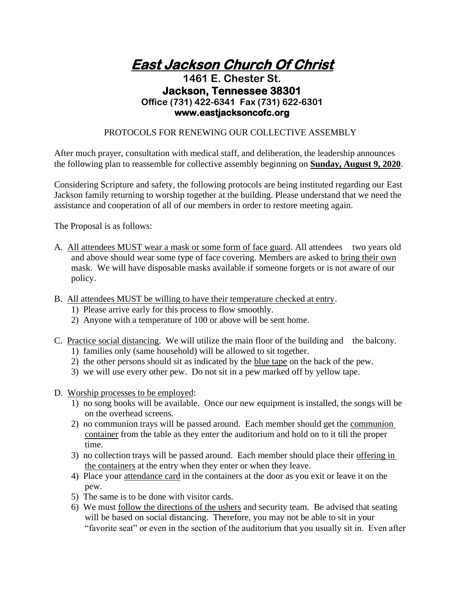**East Jackson Church Of Christ** 

## **1461 E. Chester St. Jackson, Tennessee 38301 Office (731) 422-6341 Fax (731) 622-6301 www.eastjacksoncofc.org**

## PROTOCOLS FOR RENEWING OUR COLLECTIVE ASSEMBLY

After much prayer, consultation with medical staff, and deliberation, the leadership announces the following plan to reassemble for collective assembly beginning on **Sunday, August 9, 2020**.

Considering Scripture and safety, the following protocols are being instituted regarding our East Jackson family returning to worship together at the building. Please understand that we need the assistance and cooperation of all of our members in order to restore meeting again.

The Proposal is as follows:

- A. All attendees MUST wear a mask or some form of face guard. All attendees two years old and above should wear some type of face covering. Members are asked to bring their own mask. We will have disposable masks available if someone forgets or is not aware of our policy.
- B. All attendees MUST be willing to have their temperature checked at entry.
	- 1) Please arrive early for this process to flow smoothly.
	- 2) Anyone with a temperature of 100 or above will be sent home.
- C. Practice social distancing. We will utilize the main floor of the building and the balcony.
	- 1) families only (same household) will be allowed to sit together.
	- 2) the other persons should sit as indicated by the blue tape on the back of the pew.
	- 3) we will use every other pew. Do not sit in a pew marked off by yellow tape.
- D. Worship processes to be employed:
	- 1) no song books will be available. Once our new equipment is installed, the songs will be on the overhead screens.
	- 2) no communion trays will be passed around. Each member should get the communion container from the table as they enter the auditorium and hold on to it till the proper time.
	- 3) no collection trays will be passed around. Each member should place their offering in the containers at the entry when they enter or when they leave.
	- 4) Place your attendance card in the containers at the door as you exit or leave it on the pew.
	- 5) The same is to be done with visitor cards.
	- 6) We must follow the directions of the ushers and security team. Be advised that seating will be based on social distancing. Therefore, you may not be able to sit in your "favorite seat" or even in the section of the auditorium that you usually sit in. Even after